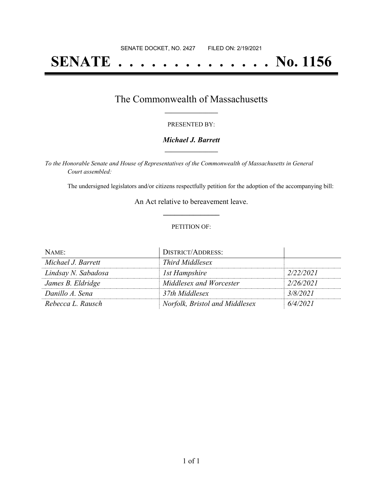# **SENATE . . . . . . . . . . . . . . No. 1156**

### The Commonwealth of Massachusetts **\_\_\_\_\_\_\_\_\_\_\_\_\_\_\_\_\_**

#### PRESENTED BY:

#### *Michael J. Barrett* **\_\_\_\_\_\_\_\_\_\_\_\_\_\_\_\_\_**

*To the Honorable Senate and House of Representatives of the Commonwealth of Massachusetts in General Court assembled:*

The undersigned legislators and/or citizens respectfully petition for the adoption of the accompanying bill:

An Act relative to bereavement leave. **\_\_\_\_\_\_\_\_\_\_\_\_\_\_\_**

#### PETITION OF:

| NAME:               | <b>DISTRICT/ADDRESS:</b>       |           |
|---------------------|--------------------------------|-----------|
| Michael J. Barrett  | Third Middlesex                |           |
| Lindsay N. Sabadosa | 1st Hampshire                  | 2/22/2021 |
| James B. Eldridge   | Middlesex and Worcester        | 2/26/2021 |
| Danillo A. Sena     | 37th Middlesex                 | 3/8/2021  |
| Rebecca L. Rausch   | Norfolk, Bristol and Middlesex | 6/4/2021  |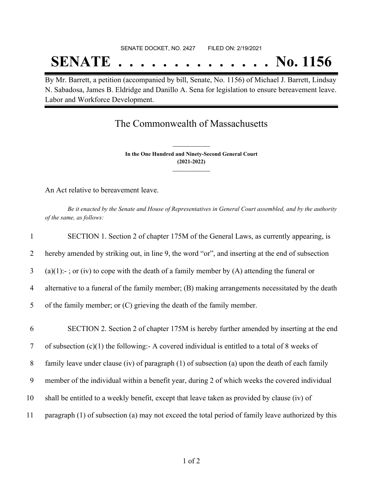# SENATE DOCKET, NO. 2427 FILED ON: 2/19/2021 **SENATE . . . . . . . . . . . . . . No. 1156**

By Mr. Barrett, a petition (accompanied by bill, Senate, No. 1156) of Michael J. Barrett, Lindsay N. Sabadosa, James B. Eldridge and Danillo A. Sena for legislation to ensure bereavement leave. Labor and Workforce Development.

## The Commonwealth of Massachusetts

**In the One Hundred and Ninety-Second General Court (2021-2022) \_\_\_\_\_\_\_\_\_\_\_\_\_\_\_**

**\_\_\_\_\_\_\_\_\_\_\_\_\_\_\_**

An Act relative to bereavement leave.

Be it enacted by the Senate and House of Representatives in General Court assembled, and by the authority *of the same, as follows:*

| $\mathbf{1}$ | SECTION 1. Section 2 of chapter 175M of the General Laws, as currently appearing, is               |
|--------------|----------------------------------------------------------------------------------------------------|
| 2            | hereby amended by striking out, in line 9, the word "or", and inserting at the end of subsection   |
| 3            | $(a)(1)$ :-; or (iv) to cope with the death of a family member by (A) attending the funeral or     |
| 4            | alternative to a funeral of the family member; (B) making arrangements necessitated by the death   |
| 5            | of the family member; or (C) grieving the death of the family member.                              |
| 6            | SECTION 2. Section 2 of chapter 175M is hereby further amended by inserting at the end             |
| $\tau$       | of subsection $(c)(1)$ the following: A covered individual is entitled to a total of 8 weeks of    |
| 8            | family leave under clause (iv) of paragraph (1) of subsection (a) upon the death of each family    |
| 9            | member of the individual within a benefit year, during 2 of which weeks the covered individual     |
| 10           | shall be entitled to a weekly benefit, except that leave taken as provided by clause (iv) of       |
| 11           | paragraph (1) of subsection (a) may not exceed the total period of family leave authorized by this |